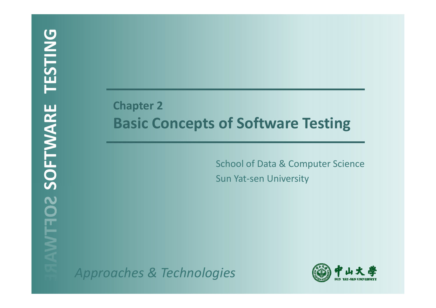## **Chapter 2 Basic Concepts of Software Testing**

School of Data & Computer Science Sun Yat-sen University

*Approaches & Technologies*

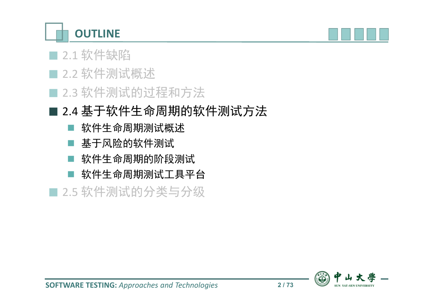**OUTLINE**



#### ■ 2.1 软件缺陷

- 2.2 软件测试概述
- 2.3 软件测试的过程和方法

## ■ 2.4 基于软件生命周期的软件测试方法

- 软件生命周期测试概述
- 基于风险的软件测试
- 软件生命周期的阶段测试
- 软件生命周期测试工具平台

■ 2.5 软件测试的分类与分级

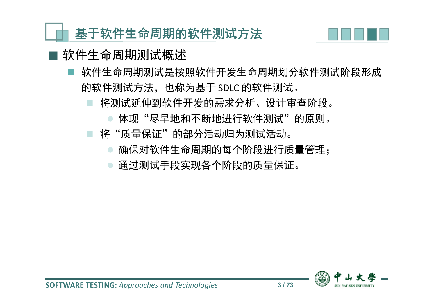#### 软件生命周期测试概述

- 软件生命周期测试是按照软件开发生命周期划分软件测试阶段形成 的软件测试方法,也称为基于 SDLC 的软件测试。
	- 将测试延伸到软件开发的需求分析、设计审查阶段。
		- 体现"尽早地和不断地进行软件测试"的原则。
	- 将"质量保证"的部分活动归为测试活动。
		- 确保对软件生命周期的每个阶段进行质量管理;
		- 通过测试手段实现各个阶段的质量保证。

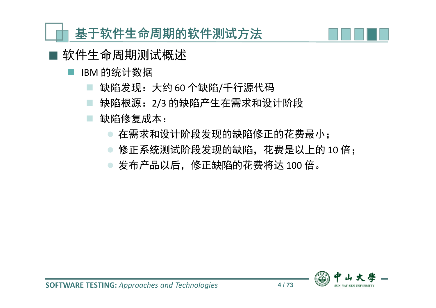

■ 软件生命周期测试概述

- IBM 的统计数据
	- 缺陷发现:大约 60 个缺陷/千行源代码
	- 缺陷根源:2/3 的缺陷产生在需求和设计阶段
	- 缺陷修复成本:
		- 在需求和设计阶段发现的缺陷修正的花费最小;
		- 修正系统测试阶段发现的缺陷, 花费是以上的 10 倍;
		- 发布产品以后,修正缺陷的花费将达 100 倍。

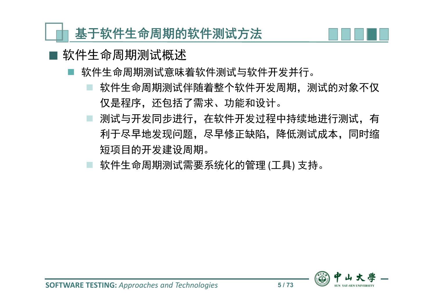

#### ■ 软件生命周期测试概述

- 软件生命周期测试意味着软件测试与软件开发并行。
	- 软件生命周期测试伴随着整个软件开发周期,测试的对象不仅 仅是程序,还包括了需求、功能和设计。
	- 测试与开发同步进行,在软件开发过程中持续地进行测试,有 利于尽早地发现问题,尽早修正缺陷,降低测试成本,同时缩 短项目的开发建设周期。
	- 软件生命周期测试需要系统化的管理 (工具) 支持。

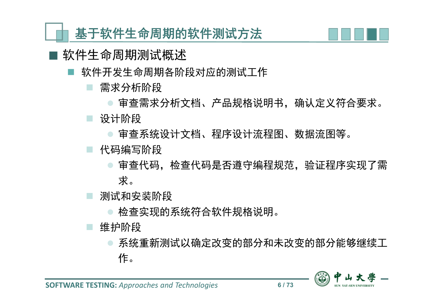

- 软件生命周期测试概述
	- 软件开发生命周期各阶段对应的测试工作
		- 需求分析阶段
		- 审查需求分析文档、产品规格说明书,确认定义符合要求。 设计阶段
			- 审查系统设计文档、程序设计流程图、数据流图等。
		- 代码编写阶段
			- 审查代码,是否遵守编程规范,验证程序实现了需 求。
		- 测试和安装阶段
			- 检查实现的系统符合软件规格说明。
		- 维护阶段
			- 系统重新测试以确定改变的部分和未改变的部分能够继续工 作。

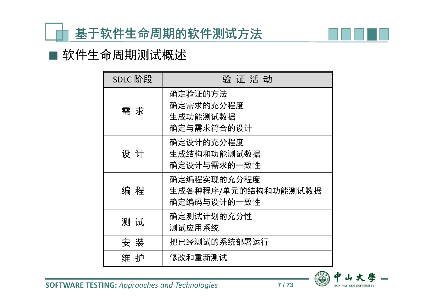

#### ■ 软件生命周期测试概述

| SDLC 阶段 | 验 证 活 动                                           |
|---------|---------------------------------------------------|
| 需 求     | 确定验证的方法<br>确定需求的充分程度<br>生成功能测试数据<br>确定与需求符合的设计    |
| 设 计     | 确定设计的充分程度<br>生成结构和功能测试数据<br>确定设计与需求的一致性           |
| 编 程     | 确定编程实现的充分程度<br>生成各种程序/单元的结构和功能测试数据<br>确定编码与设计的一致性 |
| 测试      | 确定测试计划的充分性<br>测试应用系统                              |
| 安 装     | 把已经测试的系统部署运行                                      |
| 维 护     | 修改和重新测试                                           |



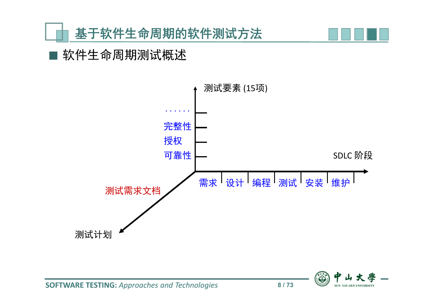



#### 软件生命周期测试概述

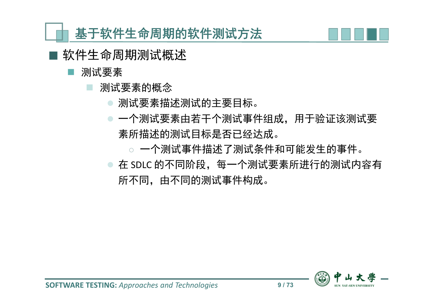

- 软件生命周期测试概述
	- 测试要素
		- 测试要素的概念
			- 测试要素描述测试的主要目标。
			- 一个测试要素由若干个测试事件组成,用于验证该测试要 素所描述的测试目标是否已经达成。
				- ◌ 一个测试事件描述了测试条件和可能发生的事件。
			- 在 SDLC 的不同阶段, 每一个测试要素所进行的测试内容有 所不同,由不同的测试事件构成。

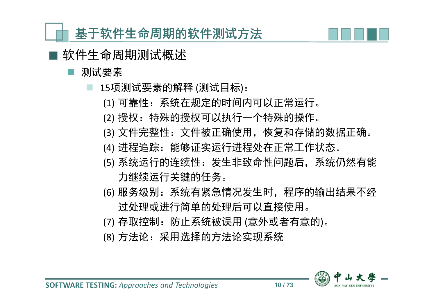

- 软件生命周期测试概述
	- 测试要素
		- 15项测试要素的解释 (测试目标):
			- (1) 可靠性:系统在规定的时间内可以正常运行。
			- (2) 授权:特殊的授权可以执行一个特殊的操作。
			- (3) 文件完整性:文件被正确使用, 恢复和存储的数据正确。
			- (4) 进程追踪: 能够证实运行进程处在正常工作状态。
			- (5) 系统运行的连续性:发生非致命性问题后,系统仍然有能 力继续运行关键的任务。
			- (6) 服务级别:系统有紧急情况发生时,程序的输出结果不经 过处理或进行简单的处理后可以直接使用。
			- (7) 存取控制: 防止系统被误用 (意外或者有意的)。
			- (8) 方法论:采用选择的方法论实现系统

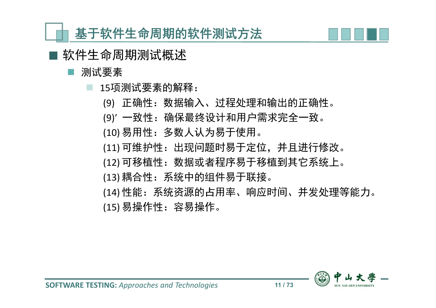

软件生命周期测试概述

测试要素

15项测试要素的解释:

- (9) 正确性:数据输入、过程处理和输出的正确性。
- (9)ʹ 一致性:确保最终设计和用户需求完全一致。
- (10) 易用性:多数人认为易于使用。
- (11) 可维护性:出现问题时易于定位,并且进行修改。
- (12) 可移植性:数据或者程序易于移植到其它系统上。
- (13) 耦合性:系统中的组件易于联接。
- (14) 性能:系统资源的占用率、响应时间、并发处理等能力。 (15) 易操作性:容易操作。

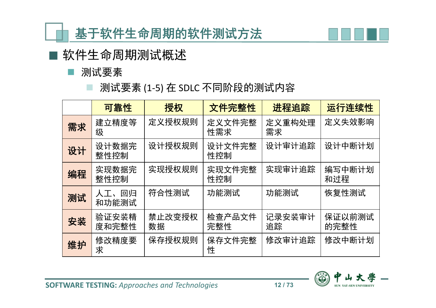

■ 软件生命周期测试概述

■ 测试要素

|  |  |  | 测试要素 (1-5) 在 SDLC 不同阶段的测试内容 |  |
|--|--|--|-----------------------------|--|
|--|--|--|-----------------------------|--|

|    | 可靠性            | 授权           | 文件完整性         | 进程追踪         | 运行连续性          |
|----|----------------|--------------|---------------|--------------|----------------|
| 需求 | 建立精度等<br>级     | 定义授权规则       | 定义文件完整<br>性需求 | 定义重构处理<br>需求 | 定义失效影响         |
| 设计 | 设计数据完<br>整性控制  | 设计授权规则       | 设计文件完整<br>性控制 | 设计审计追踪       | 设计中断计划         |
| 编程 | 实现数据完<br>整性控制  | 实现授权规则       | 实现文件完整<br>性控制 | 实现审计追踪       | 编写中断计划<br>和过程  |
| 测试 | 人工、回归<br>和功能测试 | 符合性测试        | 功能测试          | 功能测试         | 恢复性测试          |
| 安装 | 验证安装精<br>度和完整性 | 禁止改变授权<br>数据 | 检查产品文件<br>完整性 | 记录安装审计<br>追踪 | 保证以前测试<br>的完整性 |
| 维护 | 修改精度要<br>求     | 保存授权规则       | 保存文件完整<br>性   | 修改审计追踪       | 修改中断计划         |

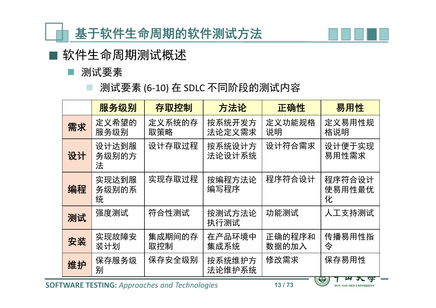

■ 软件生命周期测试概述

■ 测试要素

测试要素 (6-10) 在 SDLC 不同阶段的测试内容

|    | 服务级别                | 存取控制          | 方法论              | 正确性             | 易用性                                 |
|----|---------------------|---------------|------------------|-----------------|-------------------------------------|
| 需求 | 定义希望的<br>服务级别       | 定义系统的存<br>取策略 | 按系统开发方<br>法论定义需求 | 定义功能规格<br>说明    | 定义易用性规<br>格说明                       |
| 设计 | 设计达到服<br>务级别的方<br>法 | 设计存取过程        | 按系统设计方<br>法论设计系统 | 设计符合需求          | 设计便于实现<br>易用性需求                     |
| 编程 | 实现达到服<br>务级别的系<br>统 | 实现存取过程        | 按编程方法论<br>编写程序   | 程序符合设计          | 程序符合设计<br>使易用性最优<br>化               |
| 测试 | 强度测试                | 符合性测试         | 按测试方法论<br>执行测试   | 功能测试            | 人工支持测试                              |
| 安装 | 实现故障安<br>装计划        | 集成期间的存<br>取控制 | 在产品环境中<br>集成系统   | 正确的程序和<br>数据的加入 | 传播易用性指<br>令                         |
| 维护 | 保存服务级<br>别          | 保存安全级别        | 按系统维护方<br>法论维护系统 | 修改需求            | 保存易用性<br>$\sim$ $\sim$ $\sim$<br>п, |

**SOFTWARE TESTING:** *Approaches and Technologies* **13 / 73**

SUN YAT-SEN UNIVERSITY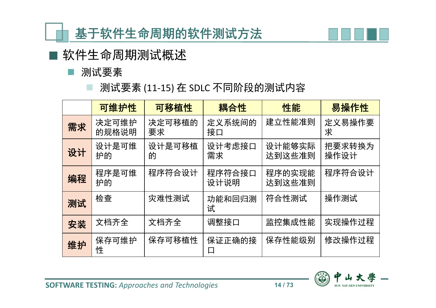

■ 软件生命周期测试概述

■ 测试要素

测试要素 (11-15) 在 SDLC 不同阶段的测试内容

|    | 可维护性           | 可移植性         | 耦合性            | 性能               | 易操作性           |
|----|----------------|--------------|----------------|------------------|----------------|
| 需求 | 决定可维护<br>的规格说明 | 决定可移植的<br>要求 | 定义系统间的<br>接口   | 建立性能准则           | 定义易操作要<br>求    |
| 设计 | 设计是可维<br>护的    | 设计是可移植<br>的  | 设计考虑接口<br>需求   | 设计能够实际<br>达到这些准则 | 把要求转换为<br>操作设计 |
| 编程 | 程序是可维<br>护的    | 程序符合设计       | 程序符合接口<br>设计说明 | 程序的实现能<br>达到这些准则 | 程序符合设计         |
| 测试 | 检查             | 灾难性测试        | 功能和回归测<br>试    | 符合性测试            | 操作测试           |
| 安装 | 文档齐全           | 文档齐全         | 调整接口           | 监控集成性能           | 实现操作过程         |
| 维护 | 保存可维护<br>性     | 保存可移植性       | 保证正确的接<br>凵    | 保存性能级别           | 修改操作过程         |



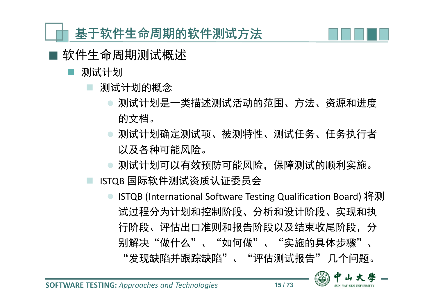

- 软件生命周期测试概述
	- 测试计划
		- 测试计划的概念
			- 测试计划是一类描述测试活动的范围、方法、资源和进度 的文档。
			- 测试计划确定测试项、被测特性、测试任务、任务执行者 以及各种可能风险。
			- 测试计划可以有效预防可能风险,保障测试的顺利实施。
		- ISTQB 国际软件测试资质认证委员会
			- ISTQB (International Software Testing Qualification Board) 将测 试过程分为计划和控制阶段、分析和设计阶段、实现和执 行阶段、评估出口准则和报告阶段以及结束收尾阶段,分 别解决"做什么"、"如何做"、"实施的具体步骤"、 "发现缺陷并跟踪缺陷"、"评估测试报告" 几个问题。

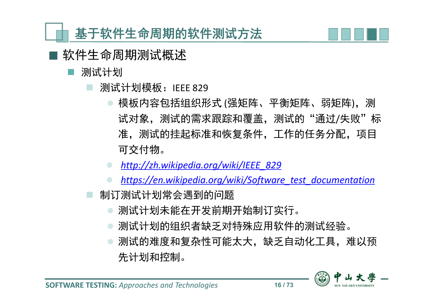

- 软件生命周期测试概述
	- 测试计划
		- 测试计划模板: IEEE 829
			- 模板内容包括组织形式 (强矩阵、平衡矩阵、弱矩阵),测 试对象, 测试的需求跟踪和覆盖, 测试的"通过/失败"标 准,测试的挂起标准和恢复条件,工作的任务分配,项目 可交付物。
			- *http://zh.wikipedia.org/wiki/IEEE\_829*
			- *https://en.wikipedia.org/wiki/Software\_test\_documentation*
		- 制订测试计划常会遇到的问题
			- 测试计划未能在开发前期开始制订实行。
			- 测试计划的组织者缺乏对特殊应用软件的测试经验。
			- 测试的难度和复杂性可能太大,缺乏自动化工具,难以预 先计划和控制。

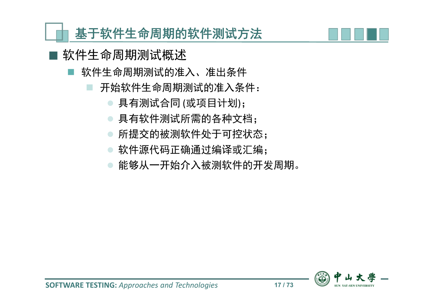## 软件生命周期测试概述

- 软件生命周期测试的准入、准出条件
	- 开始软件生命周期测试的准入条件:
		- 具有测试合同 (或项目计划);
		- 具有软件测试所需的各种文档;
		- 所提交的被测软件处于可控状态;
		- 软件源代码正确通过编译或汇编;
		- 能够从一开始介入被测软件的开发周期。

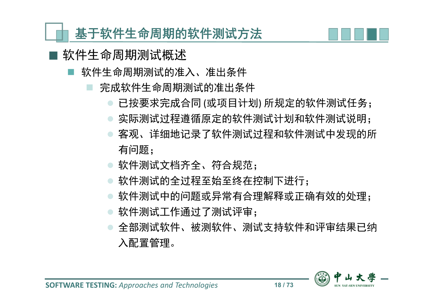

- 软件生命周期测试概述
	- 软件生命周期测试的准入、准出条件
		- 完成软件生命周期测试的准出条件
			- 已按要求完成合同 (或项目计划) 所规定的软件测试任务;
			- 实际测试过程遵循原定的软件测试计划和软件测试说明;
			- 客观、详细地记录了软件测试过程和软件测试中发现的所 有问题;
			- 软件测试文档齐全、符合规范;
			- 软件测试的全过程至始至终在控制下进行;
			- 软件测试中的问题或异常有合理解释或正确有效的处理;
			- 软件测试工作通过了测试评审;
			- 全部测试软件、被测软件、测试支持软件和评审结果已纳 入配置管理。

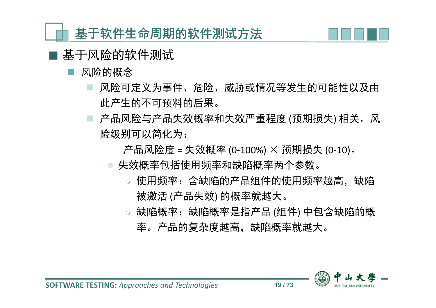

- 基于风险的软件测试
	- 风险的概念
		- 风险可定义为事件、危险、威胁或情况等发生的可能性以及由 此产生的不可预料的后果。
		- 产品风险与产品失效概率和失效严重程度 (预期损失) 相关。风 险级别可以简化为:

产品风险度 = 失效概率 (0-100%) × 预期损失 (0-10)。

- 失效概率包括使用频率和缺陷概率两个参数。
	- ◌ 使用频率:含缺陷的产品组件的使用频率越高,缺陷 被激活 (产品失效) 的概率就越大。
	- ◌ 缺陷概率:缺陷概率是指产品 (组件) 中包含缺陷的概 率。产品的复杂度越高,缺陷概率就越大。

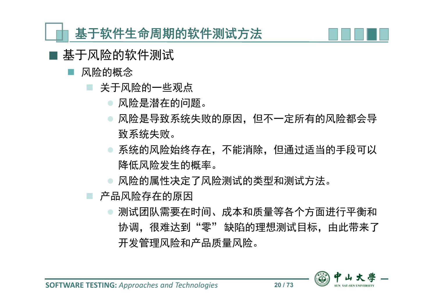

- 基于风险的软件测试
	- 风险的概念
		- 关于风险的一些观点
			- 风险是潜在的问题。
			- 风险是导致系统失败的原因,但不一定所有的风险都会导 致系统失败。
			- 系统的风险始终存在,不能消除,但通过适当的手段可以 降低风险发生的概率。
			- 风险的属性决定了风险测试的类型和测试方法。
		- 产品风险存在的原因
			- 测试团队需要在时间、成本和质量等各个方面进行平衡和 协调,很难达到"零"缺陷的理想测试目标,由此带来了 开发管理风险和产品质量风险。

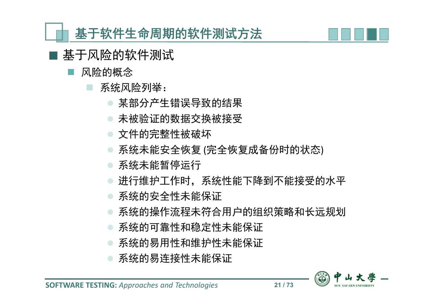

- 基于风险的软件测试
	- 风险的概念
		- 系统风险列举:
			- 某部分产生错误导致的结果
			- 未被验证的数据交换被接受
			- 文件的完整性被破坏
			- 系统未能安全恢复 (完全恢复成备份时的状态)
			- 系统未能暂停运行
			- 进行维护工作时,系统性能下降到不能接受的水平
			- 系统的安全性未能保证
			- 系统的操作流程未符合用户的组织策略和长远规划
			- 系统的可靠性和稳定性未能保证
			- 系统的易用性和维护性未能保证
			- 系统的易连接性未能保证

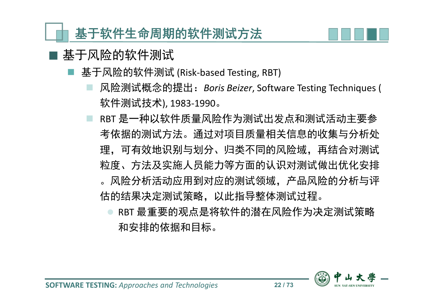

#### 基于风险的软件测试

- 基于风险的软件测试 (Risk-based Testing, RBT)
	- 风险测试概念的提出:*Boris Beizer*, Software Testing Techniques ( 软件测试技术), 1983-1990。
	- RBT 是一种以软件质量风险作为测试出发点和测试活动主要参 考依据的测试方法。通过对项目质量相关信息的收集与分析处 理,可有效地识别与划分、归类不同的风险域,再结合对测试 粒度、方法及实施人员能力等方面的认识对测试做出优化安排 。风险分析活动应用到对应的测试领域,产品风险的分析与评 估的结果决定测试策略,以此指导整体测试过程。
		- RBT 最重要的观点是将软件的潜在风险作为决定测试策略 和安排的依据和目标。

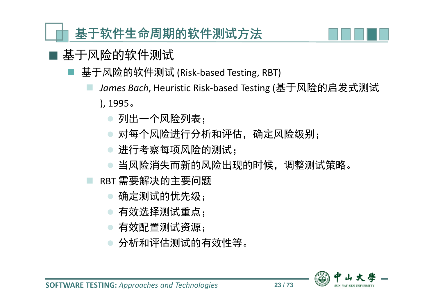

## 基于风险的软件测试

- 基于风险的软件测试 (Risk-based Testing, RBT)
	- *James Bach*, Heuristic Risk-based Testing (基于风险的启发式测试 ), 1995。
		- 列出一个风险列表;
		- 对每个风险进行分析和评估,确定风险级别;
		- 进行考察每项风险的测试;
		- 当风险消失而新的风险出现的时候,调整测试策略。
	- RBT 需要解决的主要问题
		- 确定测试的优先级;
		- 有效选择测试重点;
		- 有效配置测试资源;
		- 分析和评估测试的有效性等。

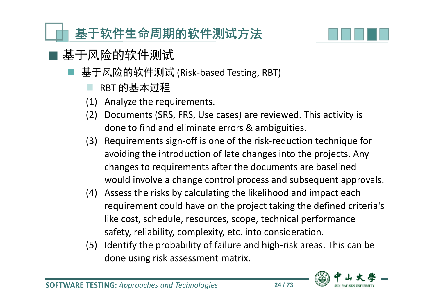

## ■ 基于风险的软件测试

- 基于风险的软件测试 (Risk-based Testing, RBT)
	- RBT 的基本过程
	- (1) Analyze the requirements.
	- (2) Documents (SRS, FRS, Use cases) are reviewed. This activity is done to find and eliminate errors & ambiguities.
	- (3) Requirements sign-off is one of the risk-reduction technique for avoiding the introduction of late changes into the projects. Any changes to requirements after the documents are baselined would involve a change control process and subsequent approvals.
	- (4) Assess the risks by calculating the likelihood and impact each requirement could have on the project taking the defined criteria's like cost, schedule, resources, scope, technical performance safety, reliability, complexity, etc. into consideration.
	- (5) Identify the probability of failure and high-risk areas. This can be done using risk assessment matrix.

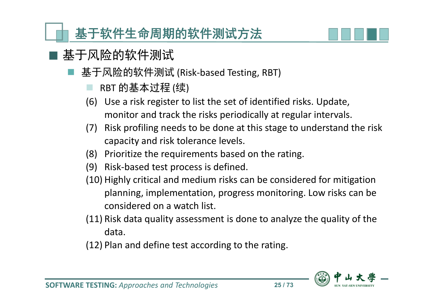

## 基于风险的软件测试

- 基于风险的软件测试 (Risk-based Testing, RBT)
	- RBT 的基本过程 (续)
	- (6) Use a risk register to list the set of identified risks. Update, monitor and track the risks periodically at regular intervals.
	- (7) Risk profiling needs to be done at this stage to understand the risk capacity and risk tolerance levels.
	- (8) Prioritize the requirements based on the rating.
	- (9) Risk-based test process is defined.
	- (10) Highly critical and medium risks can be considered for mitigation planning, implementation, progress monitoring. Low risks can be considered on a watch list.
	- (11) Risk data quality assessment is done to analyze the quality of the data.
	- (12) Plan and define test according to the rating.

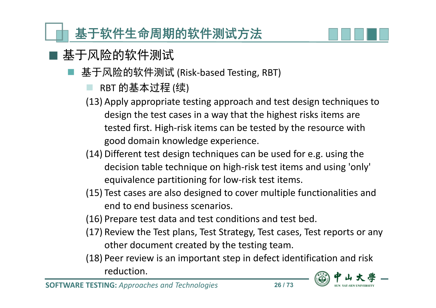

## 基于风险的软件测试

- 基于风险的软件测试 (Risk-based Testing, RBT)
	- RBT 的基本过程 (续)
	- (13) Apply appropriate testing approach and test design techniques to design the test cases in a way that the highest risks items are tested first. High-risk items can be tested by the resource with good domain knowledge experience.
	- (14) Different test design techniques can be used for e.g. using the decision table technique on high-risk test items and using 'only' equivalence partitioning for low-risk test items.
	- (15) Test cases are also designed to cover multiple functionalities and end to end business scenarios.
	- (16) Prepare test data and test conditions and test bed.
	- (17) Review the Test plans, Test Strategy, Test cases, Test reports or any other document created by the testing team.
	- (18) Peer review is an important step in defect identification and risk reduction.

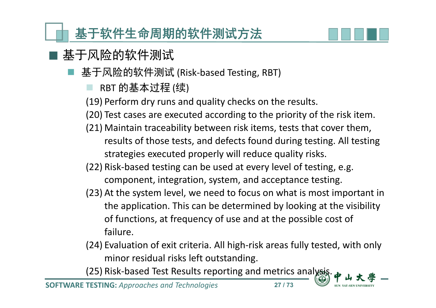

## 基于风险的软件测试

- 基于风险的软件测试 (Risk-based Testing, RBT)
	- RBT 的基本过程 (续)
	- (19) Perform dry runs and quality checks on the results.
	- (20) Test cases are executed according to the priority of the risk item.
	- (21) Maintain traceability between risk items, tests that cover them, results of those tests, and defects found during testing. All testing strategies executed properly will reduce quality risks.
	- (22) Risk-based testing can be used at every level of testing, e.g. component, integration, system, and acceptance testing.
	- (23) At the system level, we need to focus on what is most important in the application. This can be determined by looking at the visibility of functions, at frequency of use and at the possible cost of failure.
	- (24) Evaluation of exit criteria. All high-risk areas fully tested, with only minor residual risks left outstanding.

(25) Risk-based Test Results reporting and metrics analysis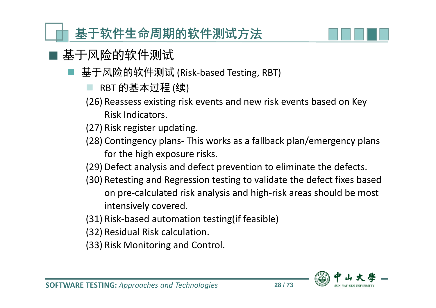

- 基于风险的软件测试
	- 基于风险的软件测试 (Risk-based Testing, RBT)
		- RBT 的基本过程 (续)
		- (26) Reassess existing risk events and new risk events based on Key Risk Indicators.
		- (27) Risk register updating.
		- (28) Contingency plans- This works as a fallback plan/emergency plans for the high exposure risks.
		- (29) Defect analysis and defect prevention to eliminate the defects.
		- (30) Retesting and Regression testing to validate the defect fixes based on pre-calculated risk analysis and high-risk areas should be most intensively covered.
		- (31) Risk-based automation testing(if feasible)
		- (32) Residual Risk calculation.
		- (33) Risk Monitoring and Control.

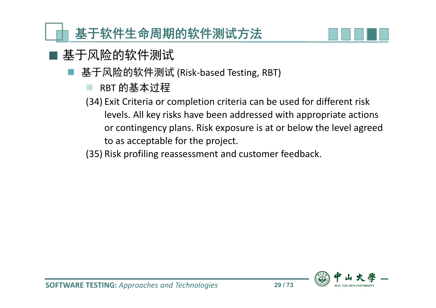

- 基于风险的软件测试
	- 基于风险的软件测试 (Risk-based Testing, RBT)
		- RBT 的基本过程
		- (34) Exit Criteria or completion criteria can be used for different risk levels. All key risks have been addressed with appropriate actions or contingency plans. Risk exposure is at or below the level agreed to as acceptable for the project.
		- (35) Risk profiling reassessment and customer feedback.

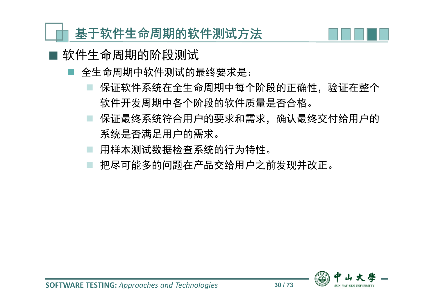

- 软件生命周期的阶段测试
	- 全生命周期中软件测试的最终要求是:
		- 保证软件系统在全生命周期中每个阶段的正确性,验证在整个 软件开发周期中各个阶段的软件质量是否合格。
		- 保证最终系统符合用户的要求和需求,确认最终交付给用户的 系统是否满足用户的需求。
		- 用样本测试数据检查系统的行为特性。
		- 把尽可能多的问题在产品交给用户之前发现并改正。

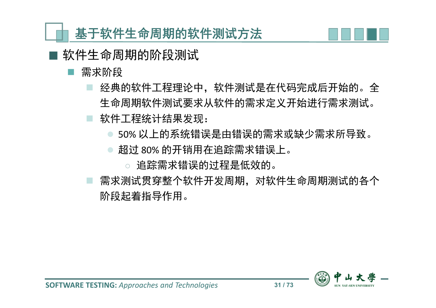

软件生命周期的阶段测试

#### 需求阶段

- 经典的软件工程理论中,软件测试是在代码完成后开始的。全 生命周期软件测试要求从软件的需求定义开始进行需求测试。 软件工程统计结果发现:
	- 50% 以上的系统错误是由错误的需求或缺少需求所导致。
	- 超过 80% 的开销用在追踪需求错误上。
		- ◌ 追踪需求错误的过程是低效的。
- 需求测试贯穿整个软件开发周期,对软件生命周期测试的各个 阶段起着指导作用。

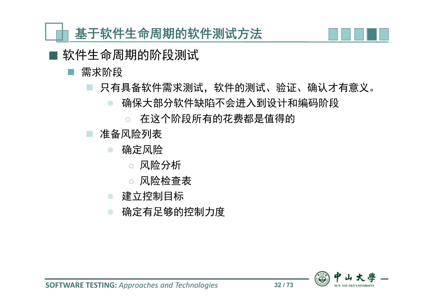

软件生命周期的阶段测试

#### 需求阶段

- 只有具备软件需求测试,软件的测试、验证、确认才有意义。
	- 确保大部分软件缺陷不会进入到设计和编码阶段
		- ◌ 在这个阶段所有的花费都是值得的
- 准备风险列表
	- 确定风险
		- ◌ 风险分析
		- ◌ 风险检查表
	- 建立控制目标
	- 确定有足够的控制力度

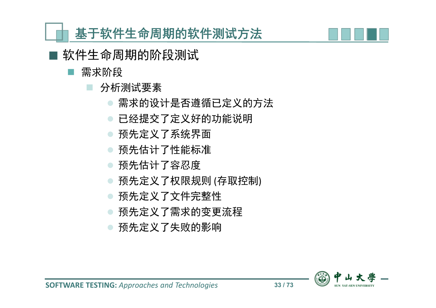软件生命周期的阶段测试

- 需求阶段
	- 分析测试要素
		- 需求的设计是否遵循已定义的方法
		- 已经提交了定义好的功能说明
		- 预先定义了系统界面
		- 预先估计了性能标准
		- 预先估计了容忍度
		- 预先定义了权限规则 (存取控制)
		- 预先定义了文件完整性
		- 预先定义了需求的变更流程
		- 预先定义了失败的影响

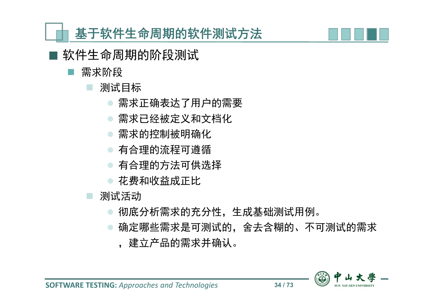软件生命周期的阶段测试

- 需求阶段
	- 测试目标
		- 需求正确表达了用户的需要
		- 需求已经被定义和文档化
		- 需求的控制被明确化
		- 有合理的流程可遵循
		- 有合理的方法可供选择
		- 花费和收益成正比

测试活动

- 彻底分析需求的充分性,生成基础测试用例。
- 确定哪些需求是可测试的,舍去含糊的、不可测试的需求 ,建立产品的需求并确认。

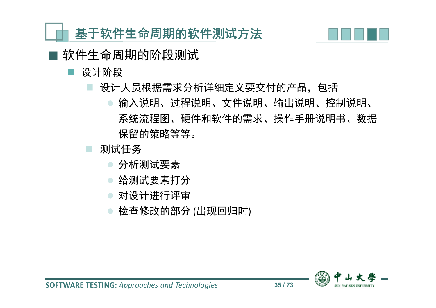

软件生命周期的阶段测试

#### 设计阶段

- 设计人员根据需求分析详细定义要交付的产品,包括
	- 输入说明、过程说明、文件说明、输出说明、控制说明、 系统流程图、硬件和软件的需求、操作手册说明书、数据 保留的策略等等。
- 测试任务
	- 分析测试要素
	- 给测试要素打分
	- 对设计进行评审
	- 检查修改的部分 (出现回归时)

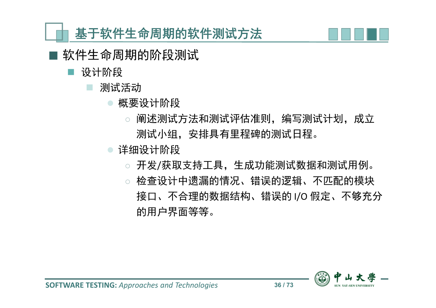

- 软件生命周期的阶段测试
	- 设计阶段
		- 测试活动
			- 概要设计阶段
				- ◌ 阐述测试方法和测试评估准则,编写测试计划,成立 测试小组,安排具有里程碑的测试日程。
			- 详细设计阶段
				- ◌ 开发/获取支持工具,生成功能测试数据和测试用例。
				- ◌ 检查设计中遗漏的情况、错误的逻辑、不匹配的模块 接口、不合理的数据结构、错误的 I/O 假定、不够充分 的用户界面等等。

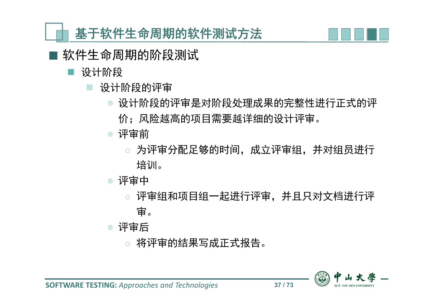

- 软件生命周期的阶段测试
	- 设计阶段
		- 设计阶段的评审
			- 设计阶段的评审是对阶段处理成果的完整性进行正式的评 价;风险越高的项目需要越详细的设计评审。
			- 评审前
				- 为评审分配足够的时间,成立评审组,并对组员进行 培训。
			- 评审中
				- ◌ 评审组和项目组一起进行评审,并且只对文档进行评 审。
			- 评审后
				- ◌ 将评审的结果写成正式报告。

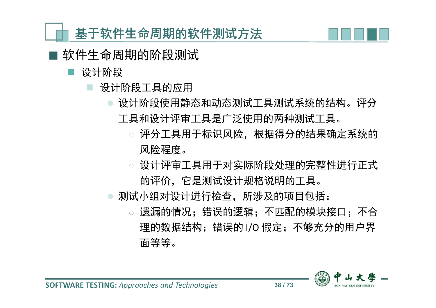

- 软件生命周期的阶段测试
	- 设计阶段
		- 设计阶段工具的应用
			- 设计阶段使用静态和动态测试工具测试系统的结构。评分 工具和设计评审工具是广泛使用的两种测试工具。
				- ◌ 评分工具用于标识风险,根据得分的结果确定系统的 风险程度。
				- ◌ 设计评审工具用于对实际阶段处理的完整性进行正式 的评价,它是测试设计规格说明的工具。
			- 测试小组对设计进行检查,所涉及的项目包括:
				- ◌ 遗漏的情况;错误的逻辑;不匹配的模块接口;不合 理的数据结构;错误的 I/O 假定;不够充分的用户界 面等等。

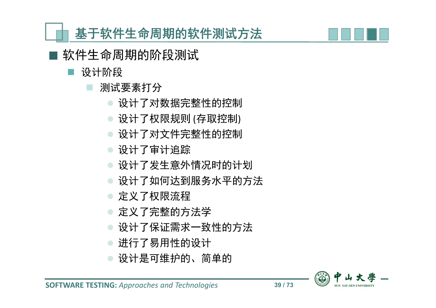软件生命周期的阶段测试

设计阶段

测试要素打分

- 设计了对数据完整性的控制
- 设计了权限规则 (存取控制)
- 设计了对文件完整性的控制

设计了审计追踪

- 设计了发生意外情况时的计划
- 设计了如何达到服务水平的方法
- 定义了权限流程
- 定义了完整的方法学
- 设计了保证需求一致性的方法
- 进行了易用性的设计
- 设计是可维护的、简单的

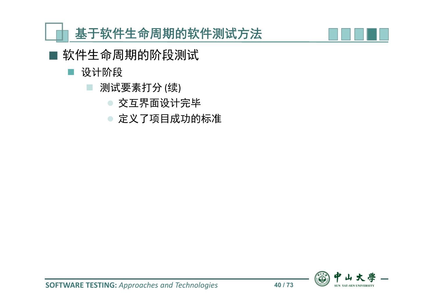

- 软件生命周期的阶段测试
	- 设计阶段
		- 测试要素打分 (续)
			- 交互界面设计完毕
			- 定义了项目成功的标准

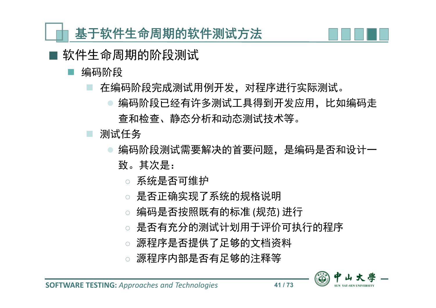

- 编码阶段
	- 在编码阶段完成测试用例开发,对程序进行实际测试。
		- 编码阶段已经有许多测试工具得到开发应用,比如编码走 查和检查、静态分析和动态测试技术等。
	- 测试任务
		- 编码阶段测试需要解决的首要问题,是编码是否和设计一 致。其次是:
			- ◌ 系统是否可维护
			- ◌ 是否正确实现了系统的规格说明
			- ◌ 编码是否按照既有的标准 (规范) 进行
			- ◌ 是否有充分的测试计划用于评价可执行的程序
			- ◌ 源程序是否提供了足够的文档资料
			- 源程序内部是否有足够的注释等

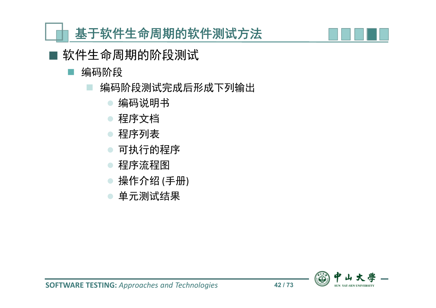- 软件生命周期的阶段测试
	- 编码阶段
		- 编码阶段测试完成后形成下列输出
			- 编码说明书
			- 程序文档
			- 程序列表
			- 可执行的程序
			- 程序流程图
			- 操作介绍 (手册)
			- 单元测试结果



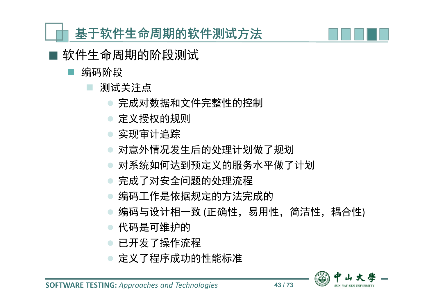

- 编码阶段
	- 测试关注点
		- 完成对数据和文件完整性的控制
		- 定义授权的规则
		- 实现审计追踪
		- 对意外情况发生后的处理计划做了规划
		- 对系统如何达到预定义的服务水平做了计划
		- 完成了对安全问题的处理流程
		- 编码工作是依据规定的方法完成的
		- 编码与设计相一致 (正确性, 易用性, 简洁性, 耦合性)
		- 代码是可维护的
		- 已开发了操作流程
		- 定义了程序成功的性能标准

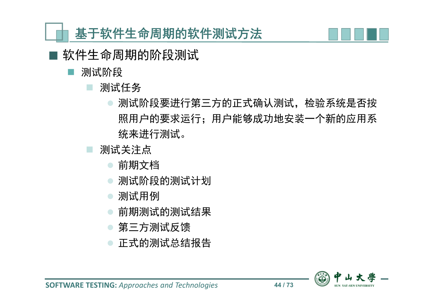

- 软件生命周期的阶段测试
	- 测试阶段
		- 测试任务
			- 测试阶段要进行第三方的正式确认测试,检验系统是否按 照用户的要求运行;用户能够成功地安装一个新的应用系 统来进行测试。
		- 测试关注点
			- 前期文档
			- 测试阶段的测试计划
			- 测试用例
			- 前期测试的测试结果
			- 第三方测试反馈
			- 正式的测试总结报告

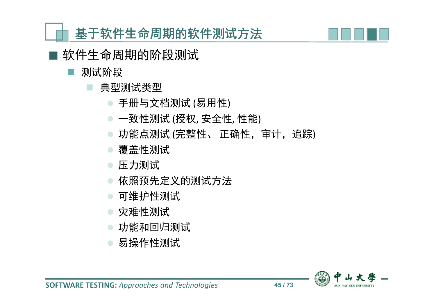

- 测试阶段
	- 典型测试类型
		- 手册与文档测试 (易用性)
		- 一致性测试 (授权, 安全性, 性能)
		- 功能点测试 (完整性、正确性, 审计, 追踪)
		- 覆盖性测试
		- 压力测试
		- 依照预先定义的测试方法
		- 可维护性测试
		- 灾难性测试
		- 功能和回归测试
		- 易操作性测试

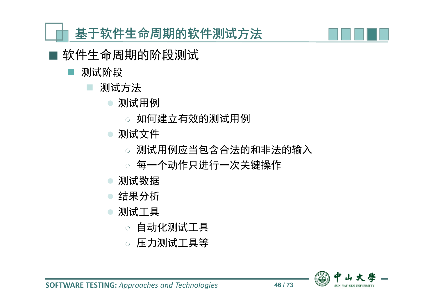- 测试阶段
	- 测试方法
		- 测试用例
			- ◌ 如何建立有效的测试用例
		- 测试文件
			- ◌ 测试用例应当包含合法的和非法的输入
			- ◌ 每一个动作只进行一次关键操作
		- 测试数据
		- 结果分析
		- 测试工具
			- ◌ 自动化测试工具
			- ◌ 压力测试工具等

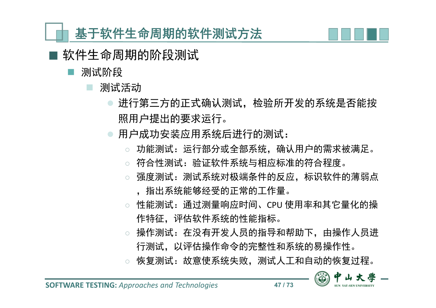

- 测试阶段
	- 测试活动
		- 进行第三方的正式确认测试,检验所开发的系统是否能按 照用户提出的要求运行。
		- 用户成功安装应用系统后进行的测试:
			- 功能测试:运行部分或全部系统,确认用户的需求被满足。
			- ◌ 符合性测试:验证软件系统与相应标准的符合程度。
			- 强度测试: 测试系统对极端条件的反应, 标识软件的薄弱点 ,指出系统能够经受的正常的工作量。
			- ◌ 性能测试:通过测量响应时间、CPU 使用率和其它量化的操 作特征,评估软件系统的性能指标。
			- ◌ 操作测试:在没有开发人员的指导和帮助下,由操作人员进 行测试,以评估操作命令的完整性和系统的易操作性。
			- 恢复测试:故意使系统失败, 测试人工和自动的恢复过程。

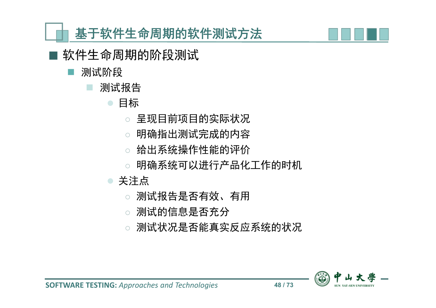- 测试阶段
	- 测试报告
		- 目标
			- 呈现目前项目的实际状况
			- ◌ 明确指出测试完成的内容
			- 给出系统操作性能的评价
			- ◌ 明确系统可以进行产品化工作的时机
		- 关注点
			- ◌ 测试报告是否有效、有用
			- ◌ 测试的信息是否充分
			- ◌ 测试状况是否能真实反应系统的状况

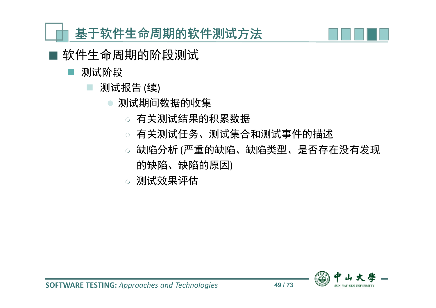

- 软件生命周期的阶段测试
	- 测试阶段
		- 测试报告 (续)
			- 测试期间数据的收集
				- ◌ 有关测试结果的积累数据
				- ◌ 有关测试任务、测试集合和测试事件的描述
				- ◌ 缺陷分析 (严重的缺陷、缺陷类型、是否存在没有发现 的缺陷、缺陷的原因)
				- ◌ 测试效果评估

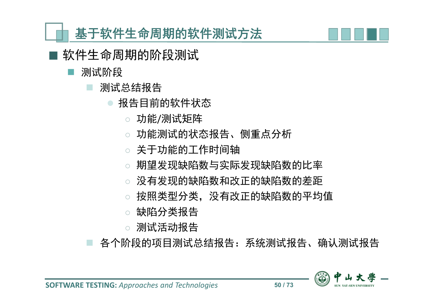

软件生命周期的阶段测试

#### 测试阶段

- 测试总结报告
	- 报告目前的软件状态
		- ◌ 功能/测试矩阵
		- ◌ 功能测试的状态报告、侧重点分析
		- ◌ 关于功能的工作时间轴
		- ◌ 期望发现缺陷数与实际发现缺陷数的比率
		- 没有发现的缺陷数和改正的缺陷数的差距
		- ◌ 按照类型分类,没有改正的缺陷数的平均值
		- ◌ 缺陷分类报告
		- ◌ 测试活动报告

各个阶段的项目测试总结报告:系统测试报告、确认测试报告

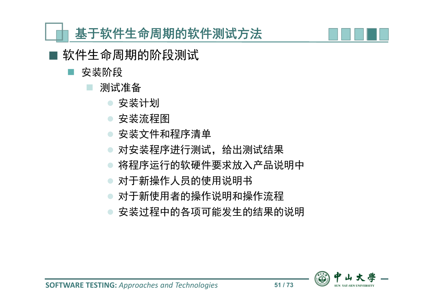

- 安装阶段
	- 测试准备
		- 安装计划
		- 安装流程图
		- 安装文件和程序清单
		- 对安装程序进行测试,给出测试结果
		- 将程序运行的软硬件要求放入产品说明中
		- 对于新操作人员的使用说明书
		- 对于新使用者的操作说明和操作流程
		- 安装过程中的各项可能发生的结果的说明

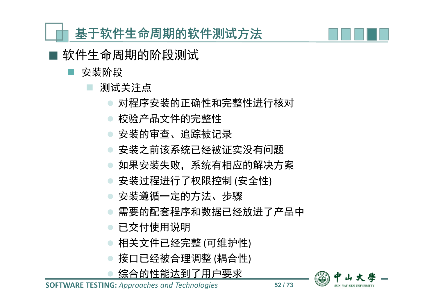

软件生命周期的阶段测试

安装阶段

测试关注点

- 对程序安装的正确性和完整性进行核对
- 校验产品文件的完整性
- 安装的审查、追踪被记录
- 安装之前该系统已经被证实没有问题
- 如果安装失败,系统有相应的解决方案
- 安装过程进行了权限控制 (安全性)
- 安装遵循一定的方法、步骤
- 需要的配套程序和数据已经放进了产品中
- 已交付使用说明
- 相关文件已经完整 (可维护性)
- 接口已经被合理调整 (耦合性)
- 综合的性能达到了用户要求

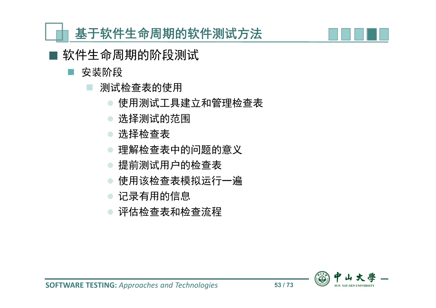软件生命周期的阶段测试

安装阶段

测试检查表的使用

- 使用测试工具建立和管理检查表
- 选择测试的范围
- 选择检查表
- 理解检查表中的问题的意义
- 提前测试用户的检查表
- 使用该检查表模拟运行一遍
- 记录有用的信息
- 评估检查表和检查流程



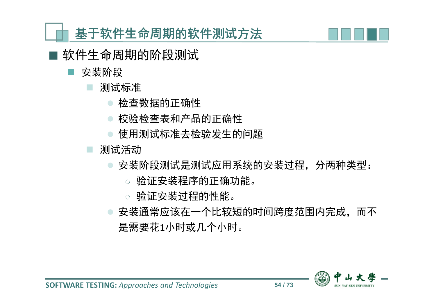

软件生命周期的阶段测试

安装阶段

测试标准

- 检查数据的正确性
- 校验检查表和产品的正确性
- 使用测试标准去检验发生的问题

测试活动

安装阶段测试是测试应用系统的安装过程,分两种类型:

- ◌ 验证安装程序的正确功能。
- ◌ 验证安装过程的性能。
- 安装通常应该在一个比较短的时间跨度范围内完成,而不 是需要花1小时或几个小时。

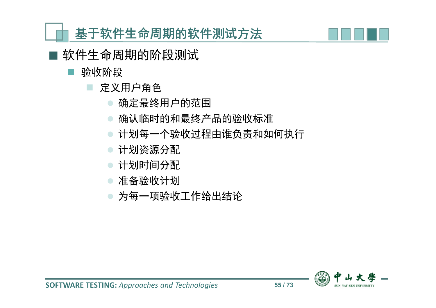

- 验收阶段
	- 定义用户角色
		- 确定最终用户的范围
		- 确认临时的和最终产品的验收标准
		- 计划每一个验收过程由谁负责和如何执行
		- 计划资源分配
		- 计划时间分配
		- 准备验收计划
		- 为每一项验收工作给出结论

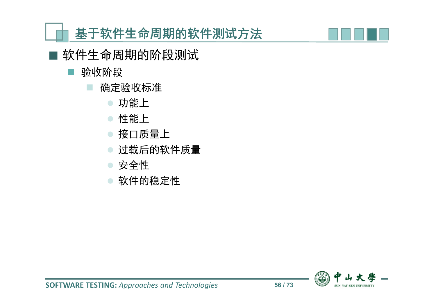

■ 软件生命周期的阶段测试

#### ■ 验收阶段

- 确定验收标准
	- 功能上
	- 性能上
	- 接口质量上
	- 过载后的软件质量
	- 安全性
	- 软件的稳定性

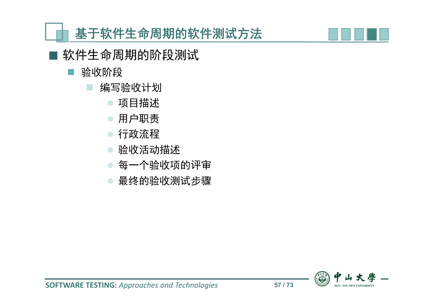

软件生命周期的阶段测试

#### 验收阶段

- 编写验收计划
	- 项目描述
	- 用户职责
	- 行政流程
	- 验收活动描述
	- 每一个验收项的评审
	- 最终的验收测试步骤

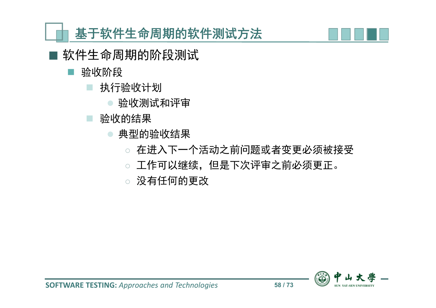

- 验收阶段
	- 执行验收计划
		- 验收测试和评审
	- 验收的结果
		- 典型的验收结果
			- ◌ 在进入下一个活动之前问题或者变更必须被接受
			- ◌ 工作可以继续,但是下次评审之前必须更正。
			- ◌ 没有任何的更改

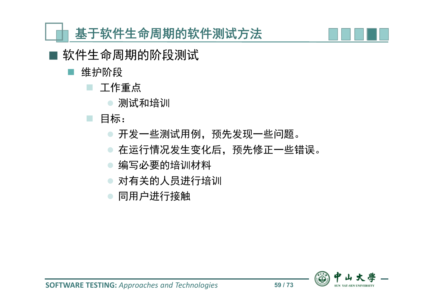

■ 软件生命周期的阶段测试

- 维护阶段
	- 工作重点
		- 测试和培训

## ■ 目标:

- 开发一些测试用例,预先发现一些问题。
- 在运行情况发生变化后,预先修正一些错误。
- 编写必要的培训材料
- 对有关的人员进行培训
- 同用户进行接触

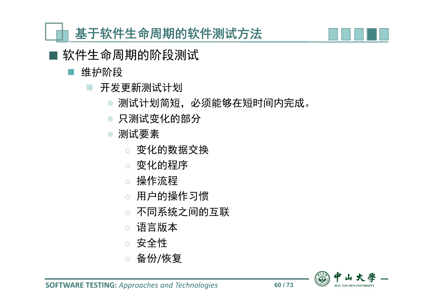

- 软件生命周期的阶段测试
	- 维护阶段
		- 开发更新测试计划
			- 测试计划简短,必须能够在短时间内完成。
			- 只测试变化的部分
			- 测试要素
				- ◌ 变化的数据交换
				- ◌ 变化的程序
				- ◌ 操作流程
				- 用户的操作习惯
				- ◌ 不同系统之间的互联
				- 语言版本
				- ◌ 安全性
				- 备份/恢复

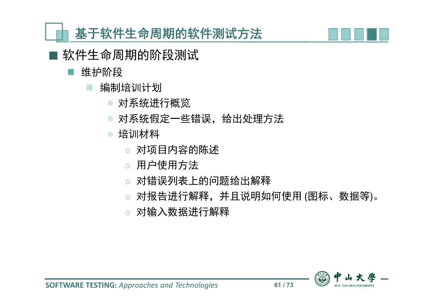

- 软件生命周期的阶段测试
	- 维护阶段
		- 编制培训计划
			- 对系统进行概览
			- 对系统假定一些错误,给出处理方法
			- 培训材料
				- ◌ 对项目内容的陈述
				- ◌ 用户使用方法
				- ◌ 对错误列表上的问题给出解释
				- ◌ 对报告进行解释,并且说明如何使用 (图标、数据等)。
				- ◌ 对输入数据进行解释

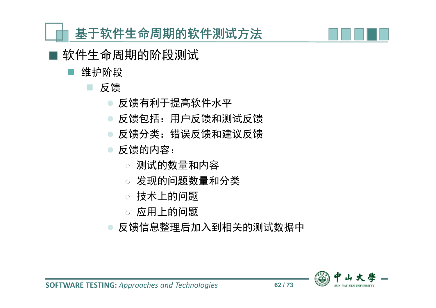

- 软件生命周期的阶段测试
	- 维护阶段

### 反馈

- 反馈有利于提高软件水平
- 反馈包括:用户反馈和测试反馈
- 反馈分类:错误反馈和建议反馈
- 反馈的内容:
	- ◌ 测试的数量和内容
	- ◌ 发现的问题数量和分类
	- ◌ 技术上的问题
	- ◌ 应用上的问题
- 反馈信息整理后加入到相关的测试数据中

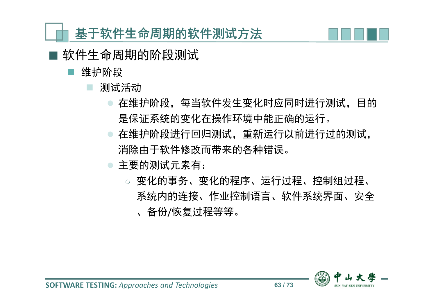

- 维护阶段
	- 测试活动
		- 在维护阶段,每当软件发生变化时应同时进行测试,目的 是保证系统的变化在操作环境中能正确的运行。
		- 在维护阶段进行回归测试,重新运行以前进行过的测试, 消除由于软件修改而带来的各种错误。
		- 主要的测试元素有:
			- ◌ 变化的事务、变化的程序、运行过程、控制组过程、 系统内的连接、作业控制语言、软件系统界面、安全 、备份/恢复过程等等。

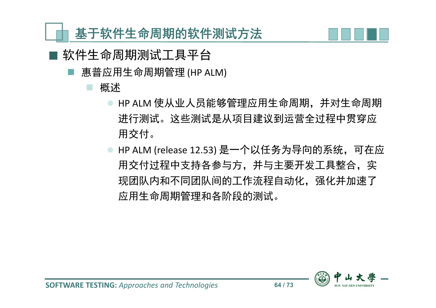

- 软件生命周期测试工具平台
	- 惠普应用生命周期管理 (HP ALM)

#### 概述

- HP ALM 使从业人员能够管理应用生命周期,并对生命周期 进行测试。这些测试是从项目建议到运营全过程中贯穿应 用交付。
- HP ALM (release 12.53) 是一个以任务为导向的系统,可在应 用交付过程中支持各参与方,并与主要开发工具整合,实 现团队内和不同团队间的工作流程自动化,强化并加速了 应用生命周期管理和各阶段的测试。

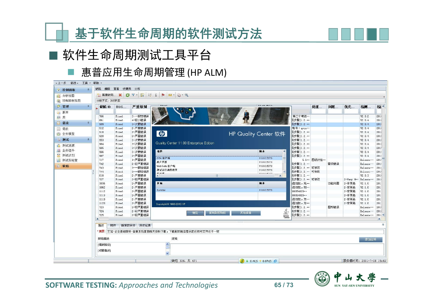



## ■ 软件生命周期测试工具平台

#### ■ 惠普应用生命周期管理 (HP ALM)

| $\hat{\mathbf{x}}$<br>2 控制面板 | 编辑 查看 收藏夹 分析<br>缺陷          |                                       |         |                                                    |                             |                                     |                  |            |      |              |                        |          |  |
|------------------------------|-----------------------------|---------------------------------------|---------|----------------------------------------------------|-----------------------------|-------------------------------------|------------------|------------|------|--------------|------------------------|----------|--|
| 26 分析视图                      |                             | 1 新建缺陷  X C T · R E (   P   M · Q · Q |         |                                                    |                             |                                     |                  |            |      |              |                        |          |  |
| 2 控制面板视图                     | 分组方式: BUG状态                 |                                       |         |                                                    |                             |                                     |                  |            |      |              |                        |          |  |
| ◎ 管理                         | 缺陷 ID<br>$\hat{\mathbf{x}}$ | <b>BUG</b>                            | 严重级别    |                                                    |                             |                                     |                  | 处理         | 问题   | 优先           | 检测                     | 检*       |  |
| ◎ 版本                         |                             |                                       |         |                                                    |                             |                                     |                  |            |      |              |                        |          |  |
| 画库                           | 766                         | Fixed                                 | 3-一般性错误 |                                                    |                             |                                     | 第二个电话…           |            |      |              | V2.0.2                 | 2011     |  |
| □ 需求                         | 861<br>$\hat{\mathbf{x}}$   | Fixed                                 | 4-较小错误  |                                                    |                             |                                     | 见步骤]1.2.…        |            |      |              | V2.0.4                 | 2011     |  |
|                              | 909                         | Fixed                                 | 3-次要错误  |                                                    |                             |                                     | 见步骤]1.2.…        |            |      |              | V2.0.4                 | 2010     |  |
| 第 需求                         | 912                         | Fixed                                 | 2-严重错误  |                                                    |                             |                                     | 帐号: gycn…        |            |      |              | V2.0.4                 | 2010     |  |
| 2 业务模型                       | 918                         | Fixed                                 | 2-严重错误  | $\phi$                                             | <b>HP Quality Center 软件</b> |                                     | 现步骤]1.2. …       |            |      |              | V2.0.4                 | 2011     |  |
|                              | 920<br>$\hat{\mathbf{x}}$   | Fixed                                 | 2-严重错误  |                                                    |                             |                                     | 现步骤]1.2. …       |            |      |              | V2.0.4                 | 2010     |  |
| <b>Q 测试</b>                  | 953                         | Fixed                                 | 3-次要错误  | Quality Center 11.00 Enterprise Edition            |                             |                                     | 现步骤]1.2. …       |            |      |              | V2.0.4                 | 201      |  |
| ◎ 测试资源                       | 964                         | Fixed                                 | 3-次要错误  |                                                    |                             |                                     | 现步骤]1.2.…        |            |      |              | V2.0.4                 | 201      |  |
| 2 业务组件                       | 965                         | Fixed                                 | 3-次要错误  | 组件                                                 | 版本                          | $\blacktriangle$                    | <b>现步骤]1.2.…</b> |            |      |              | V2.0.4                 | 201      |  |
| ■ 测试计划                       | 966                         | Fixed                                 | 3-次要错误  |                                                    |                             |                                     | 现步骤]1.2.…        |            |      |              | V2.0.4                 | 201      |  |
|                              | 967                         | Fixed                                 | 2-严重错误  | OTA 客户端                                            |                             | 11.0.0.5373                         | 现步骤11.2. …       |            |      |              | V2.0.4                 | 2010     |  |
| 测试实验室<br>厕                   | 717                         | Fixed                                 | 1-严重错误  | 用户界面                                               |                             | 11.0.0.5373                         |                  | 5.1… 因设计结… |      |              | Release ***            | 2011     |  |
| 1 缺陷                         | 742                         | Fixed                                 | 2-较严重错误 | WebGate 客户端                                        |                             | 11.0.0.5373                         | 现步骤]1.2.…        |            | 需求错误 |              | Release                | 2010     |  |
|                              | 743                         | Fixed                                 | 3-一般性错误 | 测试运行调度程序                                           |                             | 11.0.0.5373                         | 现步骤]1.2. … 可修改   |            |      |              | Release                | 2016     |  |
|                              | 744                         | Fixed                                 | 3-一般性错误 | 44.42.30                                           |                             | $\lambda \lambda \cap \alpha$ Entry | 现步骤]1.2. … 可修改   |            |      |              | Release                | 2010     |  |
|                              | 818                         | Fixed                                 | 2-严重错误  | - III<br>$\blacksquare$                            |                             | $\mathbf{r}$                        | 现步骤]1.2. …       |            |      |              | V2.0.3                 | 2011     |  |
|                              | 727                         | Fixed                                 | 2-较严重错误 |                                                    |                             |                                     | 现步骤]1.2.… 可修改    |            |      | 2-Very H ··· | Release                | 2010     |  |
|                              | 1036                        | Fixed                                 | 2-严重错误  | 扩展                                                 | 版本                          |                                     | 值划扣,充…           |            | 功能问题 | 2-非常高        | V2.1.0                 | 201      |  |
|                              | 1062                        | Fixed                                 | 2-严重错误  |                                                    |                             |                                     | 值划扣,划…           |            |      | 2-非常高        | V2.1.0                 | 201      |  |
|                              | 1112                        | Fixed                                 | 2-严重错误  | Sprinter                                           |                             | 11.0.0.5373                         | 000354020 ···    |            |      | 2-非常高        | V2.1.0                 | 201      |  |
|                              | 1113                        | Fixed                                 | 2-严重错误  |                                                    |                             |                                     | 000354020 · · ·  |            |      | 2-非常高        | V2.1.0                 | 201      |  |
|                              | 1119                        | Fixed                                 | 2-严重错误  |                                                    |                             |                                     | 值划扣,为…           |            |      | 2-非常高        | V2.1.0                 | 201      |  |
|                              | 1120                        | Fixed                                 | 2-严重错误  | Copyright @ 1993-2010 HP                           |                             |                                     | 值划扣,为…           |            |      | 2-非常高        | V2.1.0                 | 201      |  |
|                              | 723                         | Fixed                                 | 2-较严重错误 |                                                    |                             |                                     | 现步骤]1.2. …       |            | 图形错误 |              | Release                | 2011     |  |
|                              | 724                         | Fixed                                 | 2-较严重错误 | 复制到剪贴板                                             | 其他信息                        |                                     | 见步骤]1.2.…        |            |      |              | Release                | 2011     |  |
|                              | 725                         | Fixed                                 | 2-较严重错误 | 确定                                                 |                             | $\frac{a}{\sqrt{2}}$                | 现步骤]1.2. …       |            |      |              | Release                | $2011 -$ |  |
|                              | и                           |                                       |         |                                                    |                             |                                     |                  |            |      |              |                        | <b>A</b> |  |
|                              | 附件<br>链接的实体 历史记录<br>描述      |                                       |         |                                                    |                             |                                     |                  |            |      |              |                        |          |  |
|                              |                             |                                       |         |                                                    |                             |                                     |                  |            |      |              |                        |          |  |
|                              |                             |                                       |         | * 摘要:  主站--企业基础服务--备案系统里面相关资料下载,下载到本地后显示的名称与文件名不一致 |                             |                                     |                  |            |      |              |                        |          |  |
|                              | 缺陷描述<br>注释<br>添加注释          |                                       |         |                                                    |                             |                                     |                  |            |      |              |                        |          |  |
|                              | [模块路径]<br>$\blacktriangle$  |                                       |         |                                                    |                             |                                     |                  |            |      |              |                        |          |  |
|                              | [问题描述]                      |                                       |         |                                                    |                             |                                     |                  |            |      |              |                        |          |  |
|                              |                             |                                       |         |                                                    |                             |                                     |                  |            |      |              |                        |          |  |
|                              |                             |                                       |         | 缺陷 336, 共 471                                      | $+ 0.4K/5 + 0.07K/5$        |                                     |                  |            |      |              | 服务器时间: 2011-7-18 15:49 |          |  |



**SOFTWARE TESTING:** *Approaches and Technologies* **65 / 73**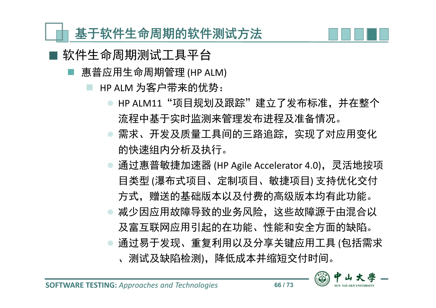

- 惠普应用生命周期管理 (HP ALM)
	- HP ALM 为客户带来的优势:
		- HP ALM11"项目规划及跟踪"建立了发布标准, 并在整个 流程中基于实时监测来管理发布进程及准备情况。
		- **需求、开发及质量工具间的三路追踪, 实现了对应用变化** 的快速组内分析及执行。
		- 通过惠普敏捷加速器 (HP Agile Accelerator 4.0), 灵活地按项 目类型 (瀑布式项目、定制项目、敏捷项目) 支持优化交付 方式,赠送的基础版本以及付费的高级版本均有此功能。 减少因应用故障导致的业务风险,这些故障源于由混合以 及富互联网应用引起的在功能、性能和安全方面的缺陷。
		- 通过易于发现、重复利用以及分享关键应用工具 (包括需求 、测试及缺陷检测),降低成本并缩短交付时间。

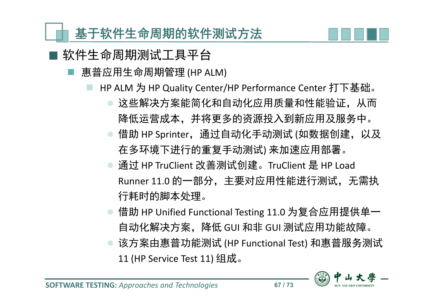

- 惠普应用生命周期管理 (HP ALM)
	- HP ALM 为 HP Quality Center/HP Performance Center 打下基础。
		- 这些解决方案能简化和自动化应用质量和性能验证,从而 降低运营成本,并将更多的资源投入到新应用及服务中。
		- 借助 HP Sprinter, 通过自动化手动测试 (如数据创建, 以及 在多环境下进行的重复手动测试) 来加速应用部署。
		- 通过 HP TruClient 改善测试创建。TruClient 是 HP Load Runner 11.0 的一部分,主要对应用性能进行测试,无需执 行耗时的脚本处理。
		- 借助 HP Unified Functional Testing 11.0 为复合应用提供单一 自动化解决方案,降低 GUI 和非 GUI 测试应用功能故障。
		- 该方案由惠普功能测试 (HP Functional Test) 和惠普服务测试 11 (HP Service Test 11) 组成。

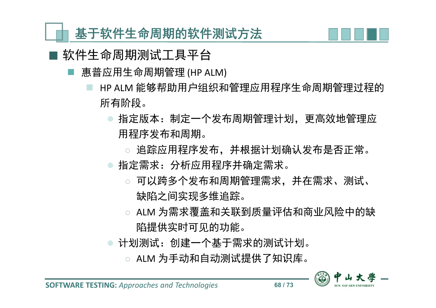

- 惠普应用生命周期管理 (HP ALM)
	- HP ALM 能够帮助用户组织和管理应用程序生命周期管理过程的 所有阶段。
		- 指定版本:制定一个发布周期管理计划,更高效地管理应 用程序发布和周期。
			- 追踪应用程序发布,并根据计划确认发布是否正常。
		- 指定需求: 分析应用程序并确定需求。
			- ◌ 可以跨多个发布和周期管理需求,并在需求、测试、 缺陷之间实现多维追踪。
			- ◌ ALM 为需求覆盖和关联到质量评估和商业风险中的缺 陷提供实时可见的功能。
		- 计划测试:创建一个基于需求的测试计划。
			- ◌ ALM 为手动和自动测试提供了知识库。

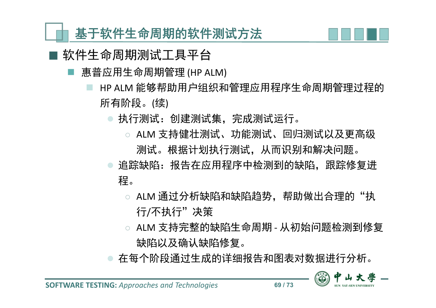

- 惠普应用生命周期管理 (HP ALM)
	- HP ALM 能够帮助用户组织和管理应用程序生命周期管理过程的 所有阶段。(续)
		- 执行测试:创建测试集,完成测试运行。
			- ◌ ALM 支持健壮测试、功能测试、回归测试以及更高级 测试。根据计划执行测试,从而识别和解决问题。
		- 追踪缺陷: 报告在应用程序中检测到的缺陷, 跟踪修复进 程。
			- ALM 通过分析缺陷和缺陷趋势,帮助做出合理的"执 行/不执行"决策
			- ◌ ALM 支持完整的缺陷生命周期 从初始问题检测到修复 缺陷以及确认缺陷修复。
		- 在每个阶段通过生成的详细报告和图表对数据进行分析。

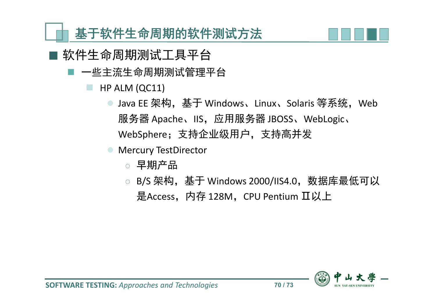

- 软件生命周期测试工具平台
	- 一些主流生命周期测试管理平台
		- HP ALM (QC11)
			- Java EE 架构,基于 Windows、Linux、Solaris 等系统,Web 服务器 Apache、IIS, 应用服务器 JBOSS、WebLogic、 WebSphere;支持企业级用户,支持高并发
			- Mercury TestDirector
				- ◌ 早期产品
				- B/S 架构, 基于 Windows 2000/IIS4.0, 数据库最低可以 是Access, 内存 128M, CPU Pentium Ⅱ以上

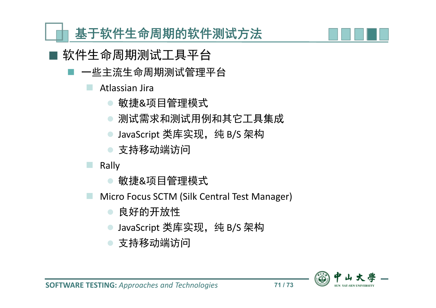

- 软件生命周期测试工具平台
	- 一些主流生命周期测试管理平台
		- Atlassian Jira
			- 敏捷&项目管理模式
			- 测试需求和测试用例和其它工具集成
			- JavaScript 类库实现, 纯 B/S 架构
			- 支持移动端访问
		- Rally
			- 敏捷&项目管理模式
		- Micro Focus SCTM (Silk Central Test Manager)
			- 良好的开放性
			- JavaScript 类库实现, 纯 B/S 架构
			- 支持移动端访问

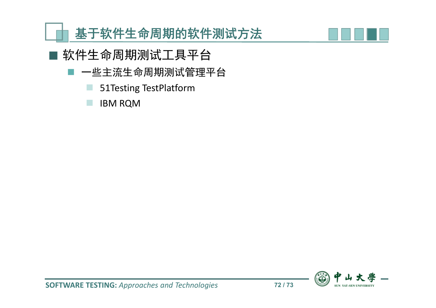



- 软件生命周期测试工具平台
	- 一些主流生命周期测试管理平台
		- 51Testing TestPlatform
		- **IBM RQM**